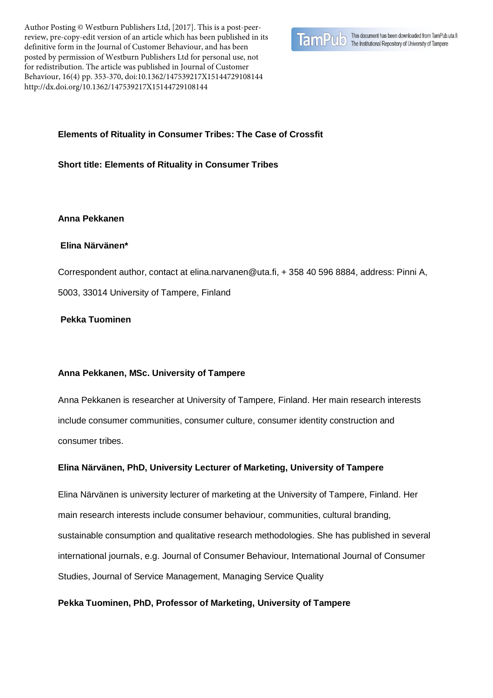Author Posting © Westburn Publishers Ltd, [2017]. This is a post-peerreview, pre-copy-edit version of an article which has been published in its definitive form in the Journal of Customer Behaviour, and has been posted by permission of Westburn Publishers Ltd for personal use, not for redistribution. The article was published in Journal of Customer Behaviour, 16(4) pp. 353-370, doi:10.1362/147539217X15144729108144 http://dx.doi.org/10.1362/147539217X15144729108144



# **Elements of Rituality in Consumer Tribes: The Case of Crossfit**

## **Short title: Elements of Rituality in Consumer Tribes**

## **Anna Pekkanen**

# **Elina Närvänen\***

Correspondent author, contact at elina.narvanen@uta.fi, + 358 40 596 8884, address: Pinni A, 5003, 33014 University of Tampere, Finland

# **Pekka Tuominen**

# **Anna Pekkanen, MSc. University of Tampere**

Anna Pekkanen is researcher at University of Tampere, Finland. Her main research interests include consumer communities, consumer culture, consumer identity construction and consumer tribes.

# **Elina Närvänen, PhD, University Lecturer of Marketing, University of Tampere**

Elina Närvänen is university lecturer of marketing at the University of Tampere, Finland. Her main research interests include consumer behaviour, communities, cultural branding, sustainable consumption and qualitative research methodologies. She has published in several international journals, e.g. Journal of Consumer Behaviour, International Journal of Consumer Studies, Journal of Service Management, Managing Service Quality

# **Pekka Tuominen, PhD, Professor of Marketing, University of Tampere**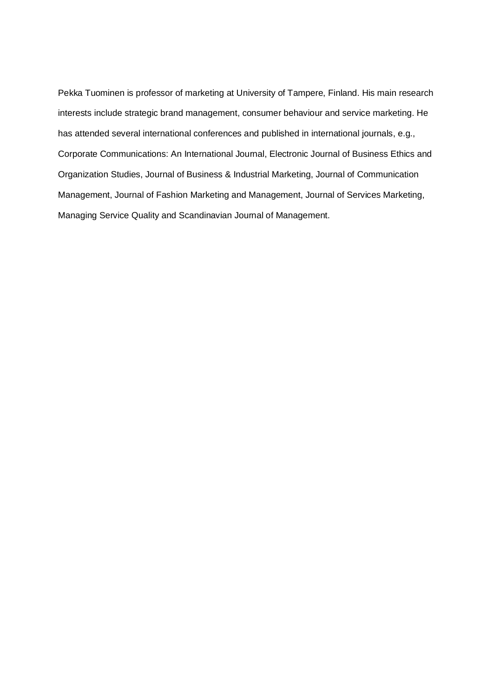Pekka Tuominen is professor of marketing at University of Tampere, Finland. His main research interests include strategic brand management, consumer behaviour and service marketing. He has attended several international conferences and published in international journals, e.g., Corporate Communications: An International Journal, Electronic Journal of Business Ethics and Organization Studies, Journal of Business & Industrial Marketing, Journal of Communication Management, Journal of Fashion Marketing and Management, Journal of Services Marketing, Managing Service Quality and Scandinavian Journal of Management.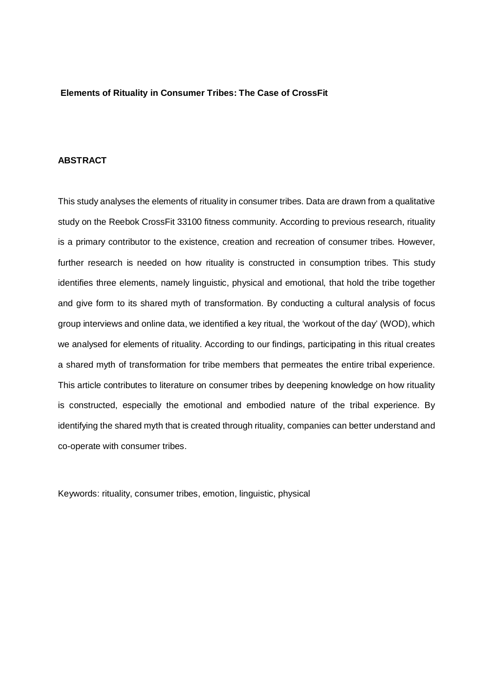### **Elements of Rituality in Consumer Tribes: The Case of CrossFit**

## **ABSTRACT**

This study analyses the elements of rituality in consumer tribes. Data are drawn from a qualitative study on the Reebok CrossFit 33100 fitness community. According to previous research, rituality is a primary contributor to the existence, creation and recreation of consumer tribes. However, further research is needed on how rituality is constructed in consumption tribes. This study identifies three elements, namely linguistic, physical and emotional, that hold the tribe together and give form to its shared myth of transformation. By conducting a cultural analysis of focus group interviews and online data, we identified a key ritual, the 'workout of the day' (WOD), which we analysed for elements of rituality. According to our findings, participating in this ritual creates a shared myth of transformation for tribe members that permeates the entire tribal experience. This article contributes to literature on consumer tribes by deepening knowledge on how rituality is constructed, especially the emotional and embodied nature of the tribal experience. By identifying the shared myth that is created through rituality, companies can better understand and co-operate with consumer tribes.

Keywords: rituality, consumer tribes, emotion, linguistic, physical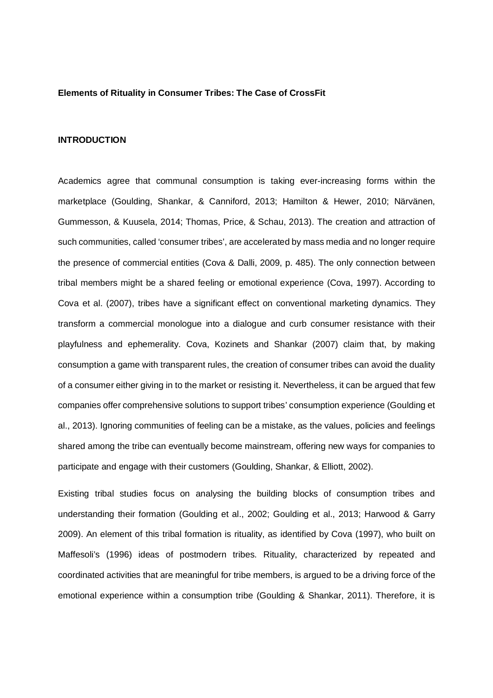#### **Elements of Rituality in Consumer Tribes: The Case of CrossFit**

#### **INTRODUCTION**

Academics agree that communal consumption is taking ever-increasing forms within the marketplace (Goulding, Shankar, & Canniford, 2013; Hamilton & Hewer, 2010; Närvänen, Gummesson, & Kuusela, 2014; Thomas, Price, & Schau, 2013). The creation and attraction of such communities, called 'consumer tribes', are accelerated by mass media and no longer require the presence of commercial entities (Cova & Dalli, 2009, p. 485). The only connection between tribal members might be a shared feeling or emotional experience (Cova, 1997). According to Cova et al. (2007), tribes have a significant effect on conventional marketing dynamics. They transform a commercial monologue into a dialogue and curb consumer resistance with their playfulness and ephemerality. Cova, Kozinets and Shankar (2007) claim that, by making consumption a game with transparent rules, the creation of consumer tribes can avoid the duality of a consumer either giving in to the market or resisting it. Nevertheless, it can be argued that few companies offer comprehensive solutions to support tribes' consumption experience (Goulding et al., 2013). Ignoring communities of feeling can be a mistake, as the values, policies and feelings shared among the tribe can eventually become mainstream, offering new ways for companies to participate and engage with their customers (Goulding, Shankar, & Elliott, 2002).

Existing tribal studies focus on analysing the building blocks of consumption tribes and understanding their formation (Goulding et al., 2002; Goulding et al., 2013; Harwood & Garry 2009). An element of this tribal formation is rituality, as identified by Cova (1997), who built on Maffesoli's (1996) ideas of postmodern tribes. Rituality, characterized by repeated and coordinated activities that are meaningful for tribe members, is argued to be a driving force of the emotional experience within a consumption tribe (Goulding & Shankar, 2011). Therefore, it is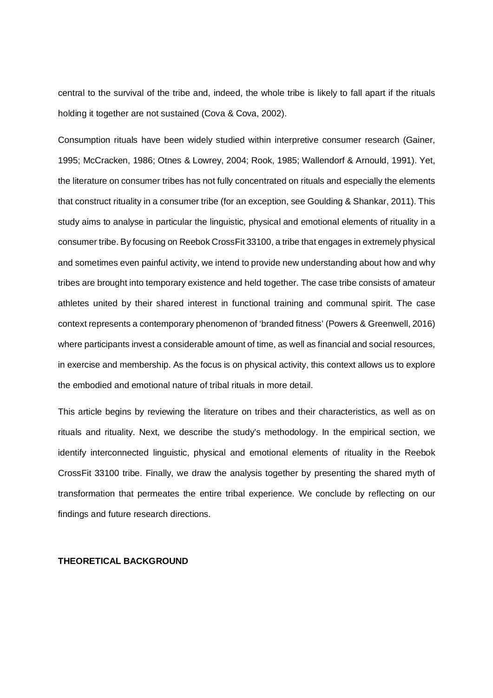central to the survival of the tribe and, indeed, the whole tribe is likely to fall apart if the rituals holding it together are not sustained (Cova & Cova, 2002).

Consumption rituals have been widely studied within interpretive consumer research (Gainer, 1995; McCracken, 1986; Otnes & Lowrey, 2004; Rook, 1985; Wallendorf & Arnould, 1991). Yet, the literature on consumer tribes has not fully concentrated on rituals and especially the elements that construct rituality in a consumer tribe (for an exception, see Goulding & Shankar, 2011). This study aims to analyse in particular the linguistic, physical and emotional elements of rituality in a consumer tribe. By focusing on Reebok CrossFit 33100, a tribe that engages in extremely physical and sometimes even painful activity, we intend to provide new understanding about how and why tribes are brought into temporary existence and held together. The case tribe consists of amateur athletes united by their shared interest in functional training and communal spirit. The case context represents a contemporary phenomenon of 'branded fitness' (Powers & Greenwell, 2016) where participants invest a considerable amount of time, as well as financial and social resources, in exercise and membership. As the focus is on physical activity, this context allows us to explore the embodied and emotional nature of tribal rituals in more detail.

This article begins by reviewing the literature on tribes and their characteristics, as well as on rituals and rituality. Next, we describe the study's methodology. In the empirical section, we identify interconnected linguistic, physical and emotional elements of rituality in the Reebok CrossFit 33100 tribe. Finally, we draw the analysis together by presenting the shared myth of transformation that permeates the entire tribal experience. We conclude by reflecting on our findings and future research directions.

### **THEORETICAL BACKGROUND**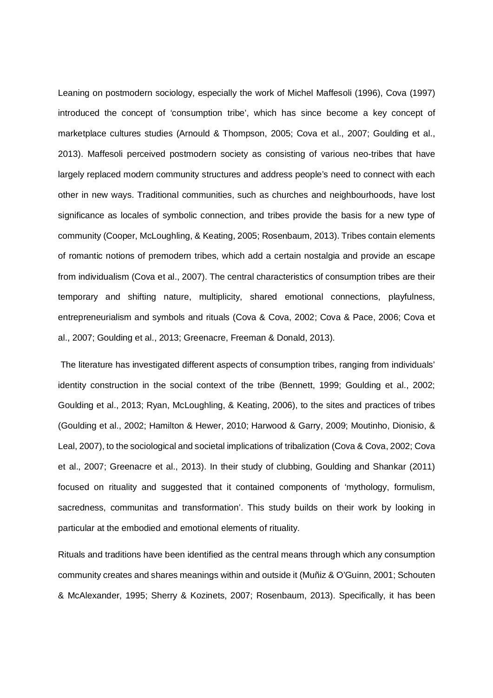Leaning on postmodern sociology, especially the work of Michel Maffesoli (1996), Cova (1997) introduced the concept of 'consumption tribe', which has since become a key concept of marketplace cultures studies (Arnould & Thompson, 2005; Cova et al., 2007; Goulding et al., 2013). Maffesoli perceived postmodern society as consisting of various neo-tribes that have largely replaced modern community structures and address people's need to connect with each other in new ways. Traditional communities, such as churches and neighbourhoods, have lost significance as locales of symbolic connection, and tribes provide the basis for a new type of community (Cooper, McLoughling, & Keating, 2005; Rosenbaum, 2013). Tribes contain elements of romantic notions of premodern tribes, which add a certain nostalgia and provide an escape from individualism (Cova et al., 2007). The central characteristics of consumption tribes are their temporary and shifting nature, multiplicity, shared emotional connections, playfulness, entrepreneurialism and symbols and rituals (Cova & Cova, 2002; Cova & Pace, 2006; Cova et al., 2007; Goulding et al., 2013; Greenacre, Freeman & Donald, 2013).

 The literature has investigated different aspects of consumption tribes, ranging from individuals' identity construction in the social context of the tribe (Bennett, 1999; Goulding et al., 2002; Goulding et al., 2013; Ryan, McLoughling, & Keating, 2006), to the sites and practices of tribes (Goulding et al., 2002; Hamilton & Hewer, 2010; Harwood & Garry, 2009; Moutinho, Dionisio, & Leal, 2007), to the sociological and societal implications of tribalization (Cova & Cova, 2002; Cova et al., 2007; Greenacre et al., 2013). In their study of clubbing, Goulding and Shankar (2011) focused on rituality and suggested that it contained components of 'mythology, formulism, sacredness, communitas and transformation'. This study builds on their work by looking in particular at the embodied and emotional elements of rituality.

Rituals and traditions have been identified as the central means through which any consumption community creates and shares meanings within and outside it (Muñiz & O'Guinn, 2001; Schouten & McAlexander, 1995; Sherry & Kozinets, 2007; Rosenbaum, 2013). Specifically, it has been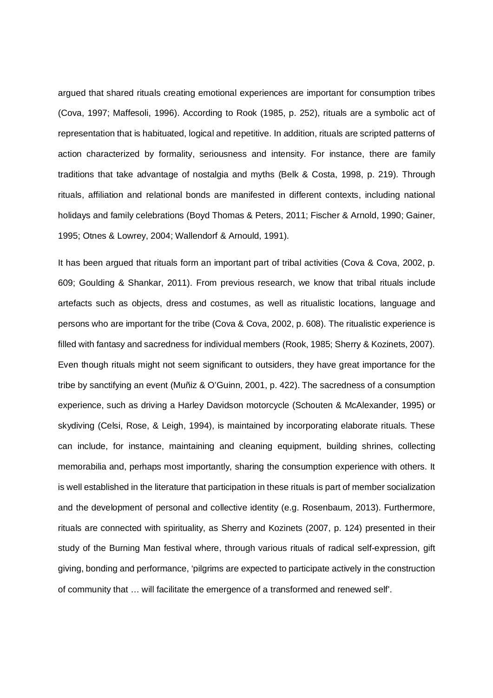argued that shared rituals creating emotional experiences are important for consumption tribes (Cova, 1997; Maffesoli, 1996). According to Rook (1985, p. 252), rituals are a symbolic act of representation that is habituated, logical and repetitive. In addition, rituals are scripted patterns of action characterized by formality, seriousness and intensity. For instance, there are family traditions that take advantage of nostalgia and myths (Belk & Costa, 1998, p. 219). Through rituals, affiliation and relational bonds are manifested in different contexts, including national holidays and family celebrations (Boyd Thomas & Peters, 2011; Fischer & Arnold, 1990; Gainer, 1995; Otnes & Lowrey, 2004; Wallendorf & Arnould, 1991).

It has been argued that rituals form an important part of tribal activities (Cova & Cova, 2002, p. 609; Goulding & Shankar, 2011). From previous research, we know that tribal rituals include artefacts such as objects, dress and costumes, as well as ritualistic locations, language and persons who are important for the tribe (Cova & Cova, 2002, p. 608). The ritualistic experience is filled with fantasy and sacredness for individual members (Rook, 1985; Sherry & Kozinets, 2007). Even though rituals might not seem significant to outsiders, they have great importance for the tribe by sanctifying an event (Muñiz & O'Guinn, 2001, p. 422). The sacredness of a consumption experience, such as driving a Harley Davidson motorcycle (Schouten & McAlexander, 1995) or skydiving (Celsi, Rose, & Leigh, 1994), is maintained by incorporating elaborate rituals. These can include, for instance, maintaining and cleaning equipment, building shrines, collecting memorabilia and, perhaps most importantly, sharing the consumption experience with others. It is well established in the literature that participation in these rituals is part of member socialization and the development of personal and collective identity (e.g. Rosenbaum, 2013). Furthermore, rituals are connected with spirituality, as Sherry and Kozinets (2007, p. 124) presented in their study of the Burning Man festival where, through various rituals of radical self-expression, gift giving, bonding and performance, 'pilgrims are expected to participate actively in the construction of community that … will facilitate the emergence of a transformed and renewed self'.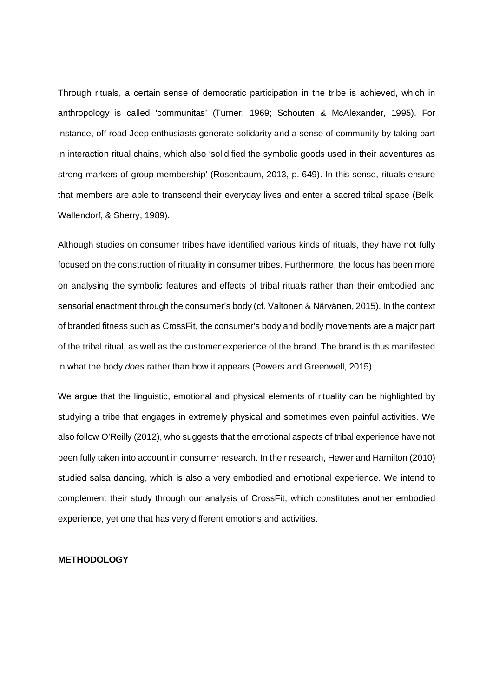Through rituals, a certain sense of democratic participation in the tribe is achieved, which in anthropology is called 'communitas' (Turner, 1969; Schouten & McAlexander, 1995). For instance, off-road Jeep enthusiasts generate solidarity and a sense of community by taking part in interaction ritual chains, which also 'solidified the symbolic goods used in their adventures as strong markers of group membership' (Rosenbaum, 2013, p. 649). In this sense, rituals ensure that members are able to transcend their everyday lives and enter a sacred tribal space (Belk, Wallendorf, & Sherry, 1989).

Although studies on consumer tribes have identified various kinds of rituals, they have not fully focused on the construction of rituality in consumer tribes. Furthermore, the focus has been more on analysing the symbolic features and effects of tribal rituals rather than their embodied and sensorial enactment through the consumer's body (cf. Valtonen & Närvänen, 2015). In the context of branded fitness such as CrossFit, the consumer's body and bodily movements are a major part of the tribal ritual, as well as the customer experience of the brand. The brand is thus manifested in what the body *does* rather than how it appears (Powers and Greenwell, 2015).

We argue that the linguistic, emotional and physical elements of rituality can be highlighted by studying a tribe that engages in extremely physical and sometimes even painful activities. We also follow O'Reilly (2012), who suggests that the emotional aspects of tribal experience have not been fully taken into account in consumer research. In their research, Hewer and Hamilton (2010) studied salsa dancing, which is also a very embodied and emotional experience. We intend to complement their study through our analysis of CrossFit, which constitutes another embodied experience, yet one that has very different emotions and activities.

# **METHODOLOGY**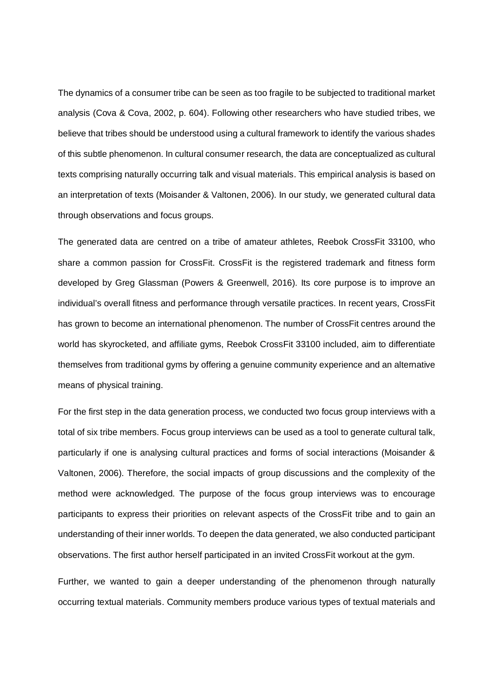The dynamics of a consumer tribe can be seen as too fragile to be subjected to traditional market analysis (Cova & Cova, 2002, p. 604). Following other researchers who have studied tribes, we believe that tribes should be understood using a cultural framework to identify the various shades of this subtle phenomenon. In cultural consumer research, the data are conceptualized as cultural texts comprising naturally occurring talk and visual materials. This empirical analysis is based on an interpretation of texts (Moisander & Valtonen, 2006). In our study, we generated cultural data through observations and focus groups.

The generated data are centred on a tribe of amateur athletes, Reebok CrossFit 33100, who share a common passion for CrossFit. CrossFit is the registered trademark and fitness form developed by Greg Glassman (Powers & Greenwell, 2016). Its core purpose is to improve an individual's overall fitness and performance through versatile practices. In recent years, CrossFit has grown to become an international phenomenon. The number of CrossFit centres around the world has skyrocketed, and affiliate gyms, Reebok CrossFit 33100 included, aim to differentiate themselves from traditional gyms by offering a genuine community experience and an alternative means of physical training.

For the first step in the data generation process, we conducted two focus group interviews with a total of six tribe members. Focus group interviews can be used as a tool to generate cultural talk, particularly if one is analysing cultural practices and forms of social interactions (Moisander & Valtonen, 2006). Therefore, the social impacts of group discussions and the complexity of the method were acknowledged. The purpose of the focus group interviews was to encourage participants to express their priorities on relevant aspects of the CrossFit tribe and to gain an understanding of their inner worlds. To deepen the data generated, we also conducted participant observations. The first author herself participated in an invited CrossFit workout at the gym.

Further, we wanted to gain a deeper understanding of the phenomenon through naturally occurring textual materials. Community members produce various types of textual materials and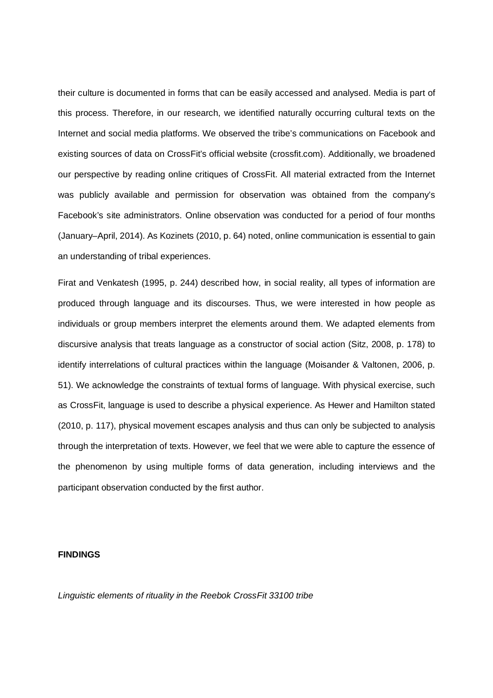their culture is documented in forms that can be easily accessed and analysed. Media is part of this process. Therefore, in our research, we identified naturally occurring cultural texts on the Internet and social media platforms. We observed the tribe's communications on Facebook and existing sources of data on CrossFit's official website (crossfit.com). Additionally, we broadened our perspective by reading online critiques of CrossFit. All material extracted from the Internet was publicly available and permission for observation was obtained from the company's Facebook's site administrators. Online observation was conducted for a period of four months (January–April, 2014). As Kozinets (2010, p. 64) noted, online communication is essential to gain an understanding of tribal experiences.

Firat and Venkatesh (1995, p. 244) described how, in social reality, all types of information are produced through language and its discourses. Thus, we were interested in how people as individuals or group members interpret the elements around them. We adapted elements from discursive analysis that treats language as a constructor of social action (Sitz, 2008, p. 178) to identify interrelations of cultural practices within the language (Moisander & Valtonen, 2006, p. 51). We acknowledge the constraints of textual forms of language. With physical exercise, such as CrossFit, language is used to describe a physical experience. As Hewer and Hamilton stated (2010, p. 117), physical movement escapes analysis and thus can only be subjected to analysis through the interpretation of texts. However, we feel that we were able to capture the essence of the phenomenon by using multiple forms of data generation, including interviews and the participant observation conducted by the first author.

### **FINDINGS**

*Linguistic elements of rituality in the Reebok CrossFit 33100 tribe*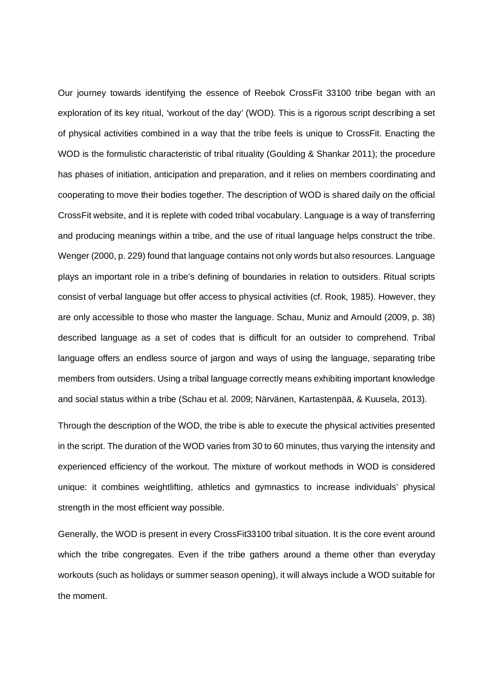Our journey towards identifying the essence of Reebok CrossFit 33100 tribe began with an exploration of its key ritual, 'workout of the day' (WOD). This is a rigorous script describing a set of physical activities combined in a way that the tribe feels is unique to CrossFit. Enacting the WOD is the formulistic characteristic of tribal rituality (Goulding & Shankar 2011); the procedure has phases of initiation, anticipation and preparation, and it relies on members coordinating and cooperating to move their bodies together. The description of WOD is shared daily on the official CrossFit website, and it is replete with coded tribal vocabulary. Language is a way of transferring and producing meanings within a tribe, and the use of ritual language helps construct the tribe. Wenger (2000, p. 229) found that language contains not only words but also resources. Language plays an important role in a tribe's defining of boundaries in relation to outsiders. Ritual scripts consist of verbal language but offer access to physical activities (cf. Rook, 1985). However, they are only accessible to those who master the language. Schau, Muniz and Arnould (2009, p. 38) described language as a set of codes that is difficult for an outsider to comprehend. Tribal language offers an endless source of jargon and ways of using the language, separating tribe members from outsiders. Using a tribal language correctly means exhibiting important knowledge and social status within a tribe (Schau et al. 2009; Närvänen, Kartastenpää, & Kuusela, 2013).

Through the description of the WOD, the tribe is able to execute the physical activities presented in the script. The duration of the WOD varies from 30 to 60 minutes, thus varying the intensity and experienced efficiency of the workout. The mixture of workout methods in WOD is considered unique: it combines weightlifting, athletics and gymnastics to increase individuals' physical strength in the most efficient way possible.

Generally, the WOD is present in every CrossFit33100 tribal situation. It is the core event around which the tribe congregates. Even if the tribe gathers around a theme other than everyday workouts (such as holidays or summer season opening), it will always include a WOD suitable for the moment.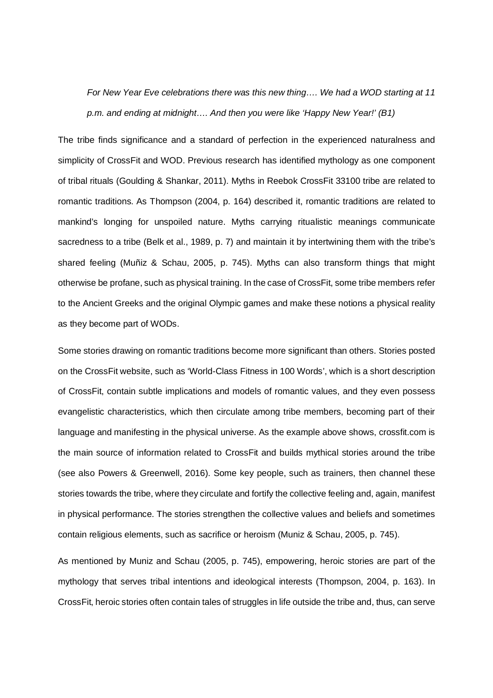*For New Year Eve celebrations there was this new thing…. We had a WOD starting at 11 p.m. and ending at midnight…. And then you were like 'Happy New Year!' (B1)*

The tribe finds significance and a standard of perfection in the experienced naturalness and simplicity of CrossFit and WOD. Previous research has identified mythology as one component of tribal rituals (Goulding & Shankar, 2011). Myths in Reebok CrossFit 33100 tribe are related to romantic traditions. As Thompson (2004, p. 164) described it, romantic traditions are related to mankind's longing for unspoiled nature. Myths carrying ritualistic meanings communicate sacredness to a tribe (Belk et al., 1989, p. 7) and maintain it by intertwining them with the tribe's shared feeling (Muñiz & Schau, 2005, p. 745). Myths can also transform things that might otherwise be profane, such as physical training. In the case of CrossFit, some tribe members refer to the Ancient Greeks and the original Olympic games and make these notions a physical reality as they become part of WODs.

Some stories drawing on romantic traditions become more significant than others. Stories posted on the CrossFit website, such as 'World-Class Fitness in 100 Words', which is a short description of CrossFit, contain subtle implications and models of romantic values, and they even possess evangelistic characteristics, which then circulate among tribe members, becoming part of their language and manifesting in the physical universe. As the example above shows, crossfit.com is the main source of information related to CrossFit and builds mythical stories around the tribe (see also Powers & Greenwell, 2016). Some key people, such as trainers, then channel these stories towards the tribe, where they circulate and fortify the collective feeling and, again, manifest in physical performance. The stories strengthen the collective values and beliefs and sometimes contain religious elements, such as sacrifice or heroism (Muniz & Schau, 2005, p. 745).

As mentioned by Muniz and Schau (2005, p. 745), empowering, heroic stories are part of the mythology that serves tribal intentions and ideological interests (Thompson, 2004, p. 163). In CrossFit, heroic stories often contain tales of struggles in life outside the tribe and, thus, can serve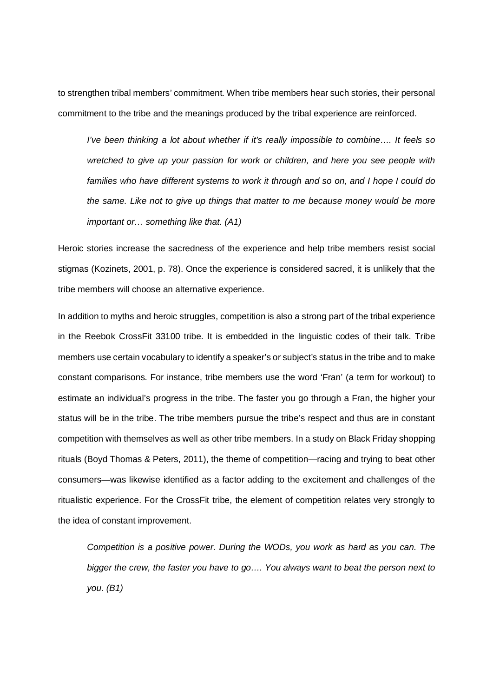to strengthen tribal members' commitment. When tribe members hear such stories, their personal commitment to the tribe and the meanings produced by the tribal experience are reinforced.

*I've been thinking a lot about whether if it's really impossible to combine…. It feels so wretched to give up your passion for work or children, and here you see people with families who have different systems to work it through and so on, and I hope I could do the same. Like not to give up things that matter to me because money would be more important or… something like that. (A1)*

Heroic stories increase the sacredness of the experience and help tribe members resist social stigmas (Kozinets, 2001, p. 78). Once the experience is considered sacred, it is unlikely that the tribe members will choose an alternative experience.

In addition to myths and heroic struggles, competition is also a strong part of the tribal experience in the Reebok CrossFit 33100 tribe. It is embedded in the linguistic codes of their talk. Tribe members use certain vocabulary to identify a speaker's or subject's status in the tribe and to make constant comparisons. For instance, tribe members use the word 'Fran' (a term for workout) to estimate an individual's progress in the tribe. The faster you go through a Fran, the higher your status will be in the tribe. The tribe members pursue the tribe's respect and thus are in constant competition with themselves as well as other tribe members. In a study on Black Friday shopping rituals (Boyd Thomas & Peters, 2011), the theme of competition—racing and trying to beat other consumers—was likewise identified as a factor adding to the excitement and challenges of the ritualistic experience. For the CrossFit tribe, the element of competition relates very strongly to the idea of constant improvement.

*Competition is a positive power. During the WODs, you work as hard as you can. The bigger the crew, the faster you have to go…. You always want to beat the person next to you. (B1)*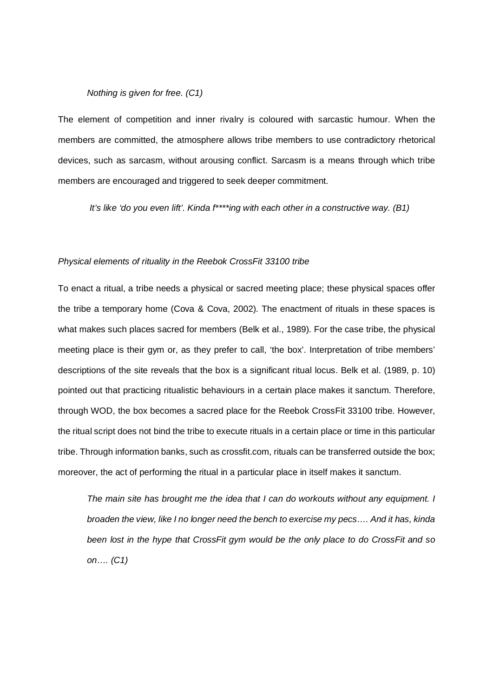### *Nothing is given for free. (C1)*

The element of competition and inner rivalry is coloured with sarcastic humour. When the members are committed, the atmosphere allows tribe members to use contradictory rhetorical devices, such as sarcasm, without arousing conflict. Sarcasm is a means through which tribe members are encouraged and triggered to seek deeper commitment.

*It's like 'do you even lift'. Kinda f\*\*\*\*ing with each other in a constructive way. (B1)*

#### *Physical elements of rituality in the Reebok CrossFit 33100 tribe*

To enact a ritual, a tribe needs a physical or sacred meeting place; these physical spaces offer the tribe a temporary home (Cova & Cova, 2002). The enactment of rituals in these spaces is what makes such places sacred for members (Belk et al., 1989). For the case tribe, the physical meeting place is their gym or, as they prefer to call, 'the box'. Interpretation of tribe members' descriptions of the site reveals that the box is a significant ritual locus. Belk et al. (1989, p. 10) pointed out that practicing ritualistic behaviours in a certain place makes it sanctum. Therefore, through WOD, the box becomes a sacred place for the Reebok CrossFit 33100 tribe. However, the ritual script does not bind the tribe to execute rituals in a certain place or time in this particular tribe. Through information banks, such as crossfit.com, rituals can be transferred outside the box; moreover, the act of performing the ritual in a particular place in itself makes it sanctum.

*The main site has brought me the idea that I can do workouts without any equipment. I broaden the view, like I no longer need the bench to exercise my pecs…. And it has, kinda been lost in the hype that CrossFit gym would be the only place to do CrossFit and so on…. (C1)*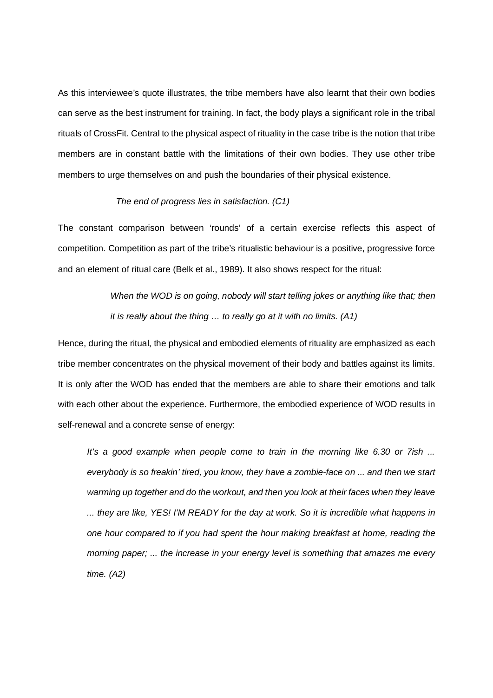As this interviewee's quote illustrates, the tribe members have also learnt that their own bodies can serve as the best instrument for training. In fact, the body plays a significant role in the tribal rituals of CrossFit. Central to the physical aspect of rituality in the case tribe is the notion that tribe members are in constant battle with the limitations of their own bodies. They use other tribe members to urge themselves on and push the boundaries of their physical existence.

#### *The end of progress lies in satisfaction. (C1)*

The constant comparison between 'rounds' of a certain exercise reflects this aspect of competition. Competition as part of the tribe's ritualistic behaviour is a positive, progressive force and an element of ritual care (Belk et al., 1989). It also shows respect for the ritual:

> *When the WOD is on going, nobody will start telling jokes or anything like that; then it is really about the thing … to really go at it with no limits. (A1)*

Hence, during the ritual, the physical and embodied elements of rituality are emphasized as each tribe member concentrates on the physical movement of their body and battles against its limits. It is only after the WOD has ended that the members are able to share their emotions and talk with each other about the experience. Furthermore, the embodied experience of WOD results in self-renewal and a concrete sense of energy:

*It's a good example when people come to train in the morning like 6.30 or 7ish ... everybody is so freakin' tired, you know, they have a zombie-face on ... and then we start warming up together and do the workout, and then you look at their faces when they leave ... they are like, YES! I'M READY for the day at work. So it is incredible what happens in one hour compared to if you had spent the hour making breakfast at home, reading the morning paper; ... the increase in your energy level is something that amazes me every time. (A2)*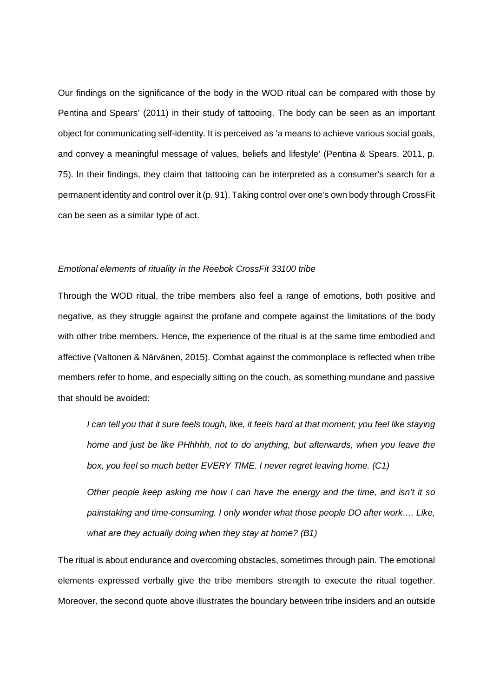Our findings on the significance of the body in the WOD ritual can be compared with those by Pentina and Spears' (2011) in their study of tattooing. The body can be seen as an important object for communicating self-identity. It is perceived as 'a means to achieve various social goals, and convey a meaningful message of values, beliefs and lifestyle' (Pentina & Spears, 2011, p. 75). In their findings, they claim that tattooing can be interpreted as a consumer's search for a permanent identity and control over it (p. 91). Taking control over one's own body through CrossFit can be seen as a similar type of act.

### *Emotional elements of rituality in the Reebok CrossFit 33100 tribe*

Through the WOD ritual, the tribe members also feel a range of emotions, both positive and negative, as they struggle against the profane and compete against the limitations of the body with other tribe members. Hence, the experience of the ritual is at the same time embodied and affective (Valtonen & Närvänen, 2015). Combat against the commonplace is reflected when tribe members refer to home, and especially sitting on the couch, as something mundane and passive that should be avoided:

*I can tell you that it sure feels tough, like, it feels hard at that moment; you feel like staying home and just be like PHhhhh, not to do anything, but afterwards, when you leave the box, you feel so much better EVERY TIME. I never regret leaving home. (C1)*

*Other people keep asking me how I can have the energy and the time, and isn't it so painstaking and time-consuming. I only wonder what those people DO after work…. Like, what are they actually doing when they stay at home? (B1)*

The ritual is about endurance and overcoming obstacles, sometimes through pain. The emotional elements expressed verbally give the tribe members strength to execute the ritual together. Moreover, the second quote above illustrates the boundary between tribe insiders and an outside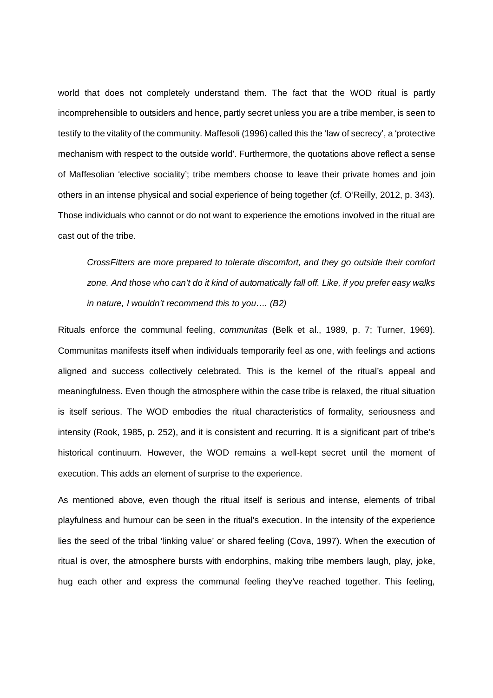world that does not completely understand them. The fact that the WOD ritual is partly incomprehensible to outsiders and hence, partly secret unless you are a tribe member, is seen to testify to the vitality of the community. Maffesoli (1996) called this the 'law of secrecy', a 'protective mechanism with respect to the outside world'. Furthermore, the quotations above reflect a sense of Maffesolian 'elective sociality'; tribe members choose to leave their private homes and join others in an intense physical and social experience of being together (cf. O'Reilly, 2012, p. 343). Those individuals who cannot or do not want to experience the emotions involved in the ritual are cast out of the tribe.

*CrossFitters are more prepared to tolerate discomfort, and they go outside their comfort zone. And those who can't do it kind of automatically fall off. Like, if you prefer easy walks in nature, I wouldn't recommend this to you…. (B2)*

Rituals enforce the communal feeling, *communitas* (Belk et al., 1989, p. 7; Turner, 1969). Communitas manifests itself when individuals temporarily feel as one, with feelings and actions aligned and success collectively celebrated. This is the kernel of the ritual's appeal and meaningfulness. Even though the atmosphere within the case tribe is relaxed, the ritual situation is itself serious. The WOD embodies the ritual characteristics of formality, seriousness and intensity (Rook, 1985, p. 252), and it is consistent and recurring. It is a significant part of tribe's historical continuum. However, the WOD remains a well-kept secret until the moment of execution. This adds an element of surprise to the experience.

As mentioned above, even though the ritual itself is serious and intense, elements of tribal playfulness and humour can be seen in the ritual's execution. In the intensity of the experience lies the seed of the tribal 'linking value' or shared feeling (Cova, 1997). When the execution of ritual is over, the atmosphere bursts with endorphins, making tribe members laugh, play, joke, hug each other and express the communal feeling they've reached together. This feeling,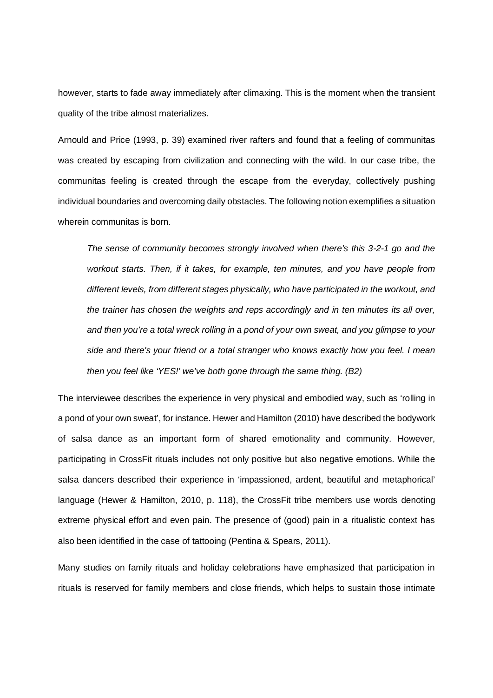however, starts to fade away immediately after climaxing. This is the moment when the transient quality of the tribe almost materializes.

Arnould and Price (1993, p. 39) examined river rafters and found that a feeling of communitas was created by escaping from civilization and connecting with the wild. In our case tribe, the communitas feeling is created through the escape from the everyday, collectively pushing individual boundaries and overcoming daily obstacles. The following notion exemplifies a situation wherein communitas is born.

*The sense of community becomes strongly involved when there's this 3-2-1 go and the workout starts. Then, if it takes, for example, ten minutes, and you have people from different levels, from different stages physically, who have participated in the workout, and the trainer has chosen the weights and reps accordingly and in ten minutes its all over, and then you're a total wreck rolling in a pond of your own sweat, and you glimpse to your side and there's your friend or a total stranger who knows exactly how you feel. I mean then you feel like 'YES!' we've both gone through the same thing. (B2)*

The interviewee describes the experience in very physical and embodied way, such as 'rolling in a pond of your own sweat', for instance. Hewer and Hamilton (2010) have described the bodywork of salsa dance as an important form of shared emotionality and community. However, participating in CrossFit rituals includes not only positive but also negative emotions. While the salsa dancers described their experience in 'impassioned, ardent, beautiful and metaphorical' language (Hewer & Hamilton, 2010, p. 118), the CrossFit tribe members use words denoting extreme physical effort and even pain. The presence of (good) pain in a ritualistic context has also been identified in the case of tattooing (Pentina & Spears, 2011).

Many studies on family rituals and holiday celebrations have emphasized that participation in rituals is reserved for family members and close friends, which helps to sustain those intimate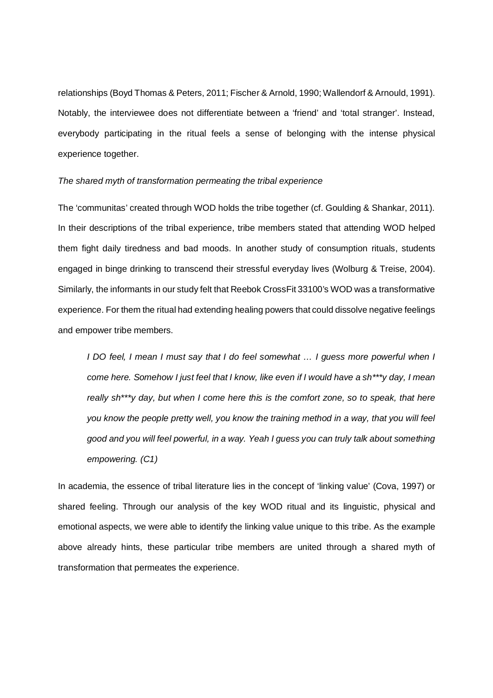relationships (Boyd Thomas & Peters, 2011; Fischer & Arnold, 1990; Wallendorf & Arnould, 1991). Notably, the interviewee does not differentiate between a 'friend' and 'total stranger'. Instead, everybody participating in the ritual feels a sense of belonging with the intense physical experience together.

#### *The shared myth of transformation permeating the tribal experience*

The 'communitas' created through WOD holds the tribe together (cf. Goulding & Shankar, 2011). In their descriptions of the tribal experience, tribe members stated that attending WOD helped them fight daily tiredness and bad moods. In another study of consumption rituals, students engaged in binge drinking to transcend their stressful everyday lives (Wolburg & Treise, 2004). Similarly, the informants in our study felt that Reebok CrossFit 33100's WOD was a transformative experience. For them the ritual had extending healing powers that could dissolve negative feelings and empower tribe members.

*I DO feel, I mean I must say that I do feel somewhat … I guess more powerful when I come here. Somehow I just feel that I know, like even if I would have a sh\*\*\*y day, I mean really sh\*\*\*y day, but when I come here this is the comfort zone, so to speak, that here you know the people pretty well, you know the training method in a way, that you will feel good and you will feel powerful, in a way. Yeah I guess you can truly talk about something empowering. (C1)*

In academia, the essence of tribal literature lies in the concept of 'linking value' (Cova, 1997) or shared feeling. Through our analysis of the key WOD ritual and its linguistic, physical and emotional aspects, we were able to identify the linking value unique to this tribe. As the example above already hints, these particular tribe members are united through a shared myth of transformation that permeates the experience.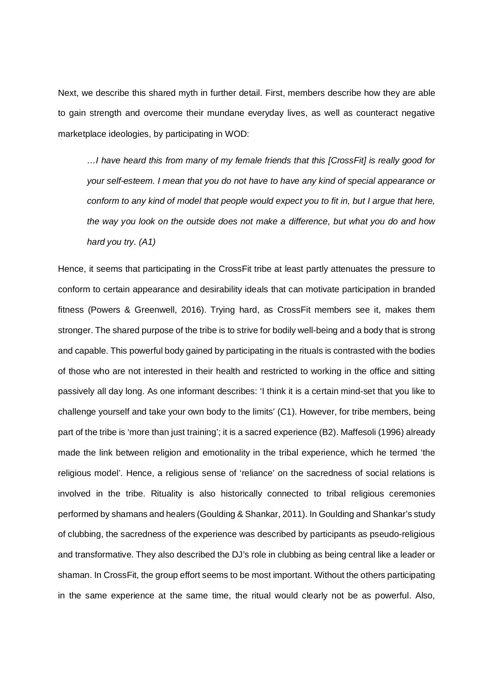Next, we describe this shared myth in further detail. First, members describe how they are able to gain strength and overcome their mundane everyday lives, as well as counteract negative marketplace ideologies, by participating in WOD:

*…I have heard this from many of my female friends that this [CrossFit] is really good for your self-esteem. I mean that you do not have to have any kind of special appearance or conform to any kind of model that people would expect you to fit in, but I argue that here, the way you look on the outside does not make a difference, but what you do and how hard you try. (A1)*

Hence, it seems that participating in the CrossFit tribe at least partly attenuates the pressure to conform to certain appearance and desirability ideals that can motivate participation in branded fitness (Powers & Greenwell, 2016). Trying hard, as CrossFit members see it, makes them stronger. The shared purpose of the tribe is to strive for bodily well-being and a body that is strong and capable. This powerful body gained by participating in the rituals is contrasted with the bodies of those who are not interested in their health and restricted to working in the office and sitting passively all day long. As one informant describes: 'I think it is a certain mind-set that you like to challenge yourself and take your own body to the limits' (C1). However, for tribe members, being part of the tribe is 'more than just training'; it is a sacred experience (B2). Maffesoli (1996) already made the link between religion and emotionality in the tribal experience, which he termed 'the religious model'. Hence, a religious sense of 'reliance' on the sacredness of social relations is involved in the tribe. Rituality is also historically connected to tribal religious ceremonies performed by shamans and healers (Goulding & Shankar, 2011). In Goulding and Shankar's study of clubbing, the sacredness of the experience was described by participants as pseudo-religious and transformative. They also described the DJ's role in clubbing as being central like a leader or shaman. In CrossFit, the group effort seems to be most important. Without the others participating in the same experience at the same time, the ritual would clearly not be as powerful. Also,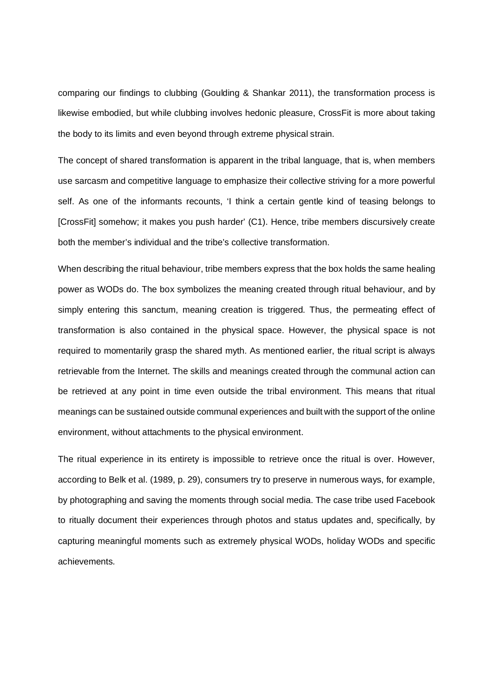comparing our findings to clubbing (Goulding & Shankar 2011), the transformation process is likewise embodied, but while clubbing involves hedonic pleasure, CrossFit is more about taking the body to its limits and even beyond through extreme physical strain.

The concept of shared transformation is apparent in the tribal language, that is, when members use sarcasm and competitive language to emphasize their collective striving for a more powerful self. As one of the informants recounts, 'I think a certain gentle kind of teasing belongs to [CrossFit] somehow; it makes you push harder' (C1). Hence, tribe members discursively create both the member's individual and the tribe's collective transformation.

When describing the ritual behaviour, tribe members express that the box holds the same healing power as WODs do. The box symbolizes the meaning created through ritual behaviour, and by simply entering this sanctum, meaning creation is triggered. Thus, the permeating effect of transformation is also contained in the physical space. However, the physical space is not required to momentarily grasp the shared myth. As mentioned earlier, the ritual script is always retrievable from the Internet. The skills and meanings created through the communal action can be retrieved at any point in time even outside the tribal environment. This means that ritual meanings can be sustained outside communal experiences and built with the support of the online environment, without attachments to the physical environment.

The ritual experience in its entirety is impossible to retrieve once the ritual is over. However, according to Belk et al. (1989, p. 29), consumers try to preserve in numerous ways, for example, by photographing and saving the moments through social media. The case tribe used Facebook to ritually document their experiences through photos and status updates and, specifically, by capturing meaningful moments such as extremely physical WODs, holiday WODs and specific achievements.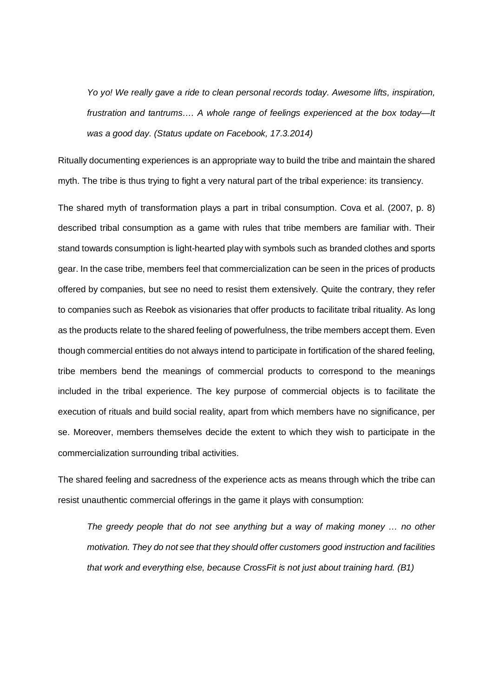*Yo yo! We really gave a ride to clean personal records today. Awesome lifts, inspiration, frustration and tantrums…. A whole range of feelings experienced at the box today—It was a good day. (Status update on Facebook, 17.3.2014)*

Ritually documenting experiences is an appropriate way to build the tribe and maintain the shared myth. The tribe is thus trying to fight a very natural part of the tribal experience: its transiency.

The shared myth of transformation plays a part in tribal consumption. Cova et al. (2007, p. 8) described tribal consumption as a game with rules that tribe members are familiar with. Their stand towards consumption is light-hearted play with symbols such as branded clothes and sports gear. In the case tribe, members feel that commercialization can be seen in the prices of products offered by companies, but see no need to resist them extensively. Quite the contrary, they refer to companies such as Reebok as visionaries that offer products to facilitate tribal rituality. As long as the products relate to the shared feeling of powerfulness, the tribe members accept them. Even though commercial entities do not always intend to participate in fortification of the shared feeling, tribe members bend the meanings of commercial products to correspond to the meanings included in the tribal experience. The key purpose of commercial objects is to facilitate the execution of rituals and build social reality, apart from which members have no significance, per se. Moreover, members themselves decide the extent to which they wish to participate in the commercialization surrounding tribal activities.

The shared feeling and sacredness of the experience acts as means through which the tribe can resist unauthentic commercial offerings in the game it plays with consumption:

*The greedy people that do not see anything but a way of making money … no other motivation. They do not see that they should offer customers good instruction and facilities that work and everything else, because CrossFit is not just about training hard. (B1)*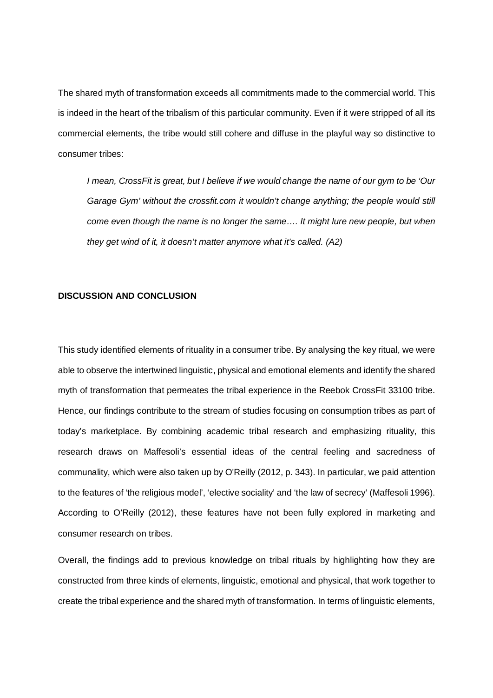The shared myth of transformation exceeds all commitments made to the commercial world. This is indeed in the heart of the tribalism of this particular community. Even if it were stripped of all its commercial elements, the tribe would still cohere and diffuse in the playful way so distinctive to consumer tribes:

*I mean, CrossFit is great, but I believe if we would change the name of our gym to be 'Our Garage Gym' without the crossfit.com it wouldn't change anything; the people would still come even though the name is no longer the same…. It might lure new people, but when they get wind of it, it doesn't matter anymore what it's called. (A2)*

### **DISCUSSION AND CONCLUSION**

This study identified elements of rituality in a consumer tribe. By analysing the key ritual, we were able to observe the intertwined linguistic, physical and emotional elements and identify the shared myth of transformation that permeates the tribal experience in the Reebok CrossFit 33100 tribe. Hence, our findings contribute to the stream of studies focusing on consumption tribes as part of today's marketplace. By combining academic tribal research and emphasizing rituality, this research draws on Maffesoli's essential ideas of the central feeling and sacredness of communality, which were also taken up by O'Reilly (2012, p. 343). In particular, we paid attention to the features of 'the religious model', 'elective sociality' and 'the law of secrecy' (Maffesoli 1996). According to O'Reilly (2012), these features have not been fully explored in marketing and consumer research on tribes.

Overall, the findings add to previous knowledge on tribal rituals by highlighting how they are constructed from three kinds of elements, linguistic, emotional and physical, that work together to create the tribal experience and the shared myth of transformation. In terms of linguistic elements,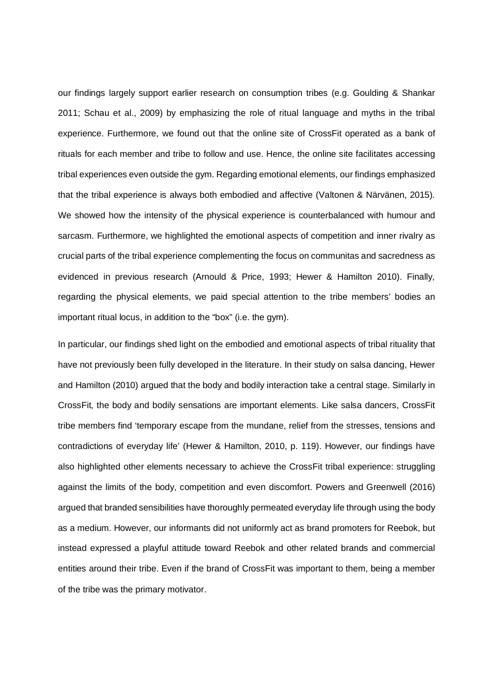our findings largely support earlier research on consumption tribes (e.g. Goulding & Shankar 2011; Schau et al., 2009) by emphasizing the role of ritual language and myths in the tribal experience. Furthermore, we found out that the online site of CrossFit operated as a bank of rituals for each member and tribe to follow and use. Hence, the online site facilitates accessing tribal experiences even outside the gym. Regarding emotional elements, our findings emphasized that the tribal experience is always both embodied and affective (Valtonen & Närvänen, 2015). We showed how the intensity of the physical experience is counterbalanced with humour and sarcasm. Furthermore, we highlighted the emotional aspects of competition and inner rivalry as crucial parts of the tribal experience complementing the focus on communitas and sacredness as evidenced in previous research (Arnould & Price, 1993; Hewer & Hamilton 2010). Finally, regarding the physical elements, we paid special attention to the tribe members' bodies an important ritual locus, in addition to the "box" (i.e. the gym).

In particular, our findings shed light on the embodied and emotional aspects of tribal rituality that have not previously been fully developed in the literature. In their study on salsa dancing, Hewer and Hamilton (2010) argued that the body and bodily interaction take a central stage. Similarly in CrossFit, the body and bodily sensations are important elements. Like salsa dancers, CrossFit tribe members find 'temporary escape from the mundane, relief from the stresses, tensions and contradictions of everyday life' (Hewer & Hamilton, 2010, p. 119). However, our findings have also highlighted other elements necessary to achieve the CrossFit tribal experience: struggling against the limits of the body, competition and even discomfort. Powers and Greenwell (2016) argued that branded sensibilities have thoroughly permeated everyday life through using the body as a medium. However, our informants did not uniformly act as brand promoters for Reebok, but instead expressed a playful attitude toward Reebok and other related brands and commercial entities around their tribe. Even if the brand of CrossFit was important to them, being a member of the tribe was the primary motivator.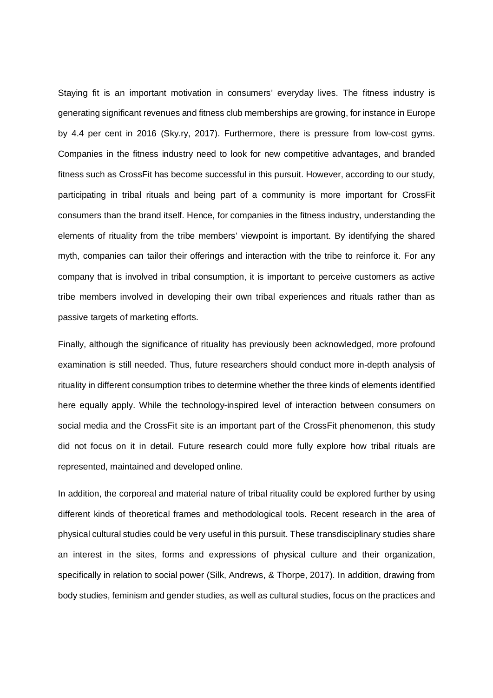Staying fit is an important motivation in consumers' everyday lives. The fitness industry is generating significant revenues and fitness club memberships are growing, for instance in Europe by 4.4 per cent in 2016 (Sky.ry, 2017). Furthermore, there is pressure from low-cost gyms. Companies in the fitness industry need to look for new competitive advantages, and branded fitness such as CrossFit has become successful in this pursuit. However, according to our study, participating in tribal rituals and being part of a community is more important for CrossFit consumers than the brand itself. Hence, for companies in the fitness industry, understanding the elements of rituality from the tribe members' viewpoint is important. By identifying the shared myth, companies can tailor their offerings and interaction with the tribe to reinforce it. For any company that is involved in tribal consumption, it is important to perceive customers as active tribe members involved in developing their own tribal experiences and rituals rather than as passive targets of marketing efforts.

Finally, although the significance of rituality has previously been acknowledged, more profound examination is still needed. Thus, future researchers should conduct more in-depth analysis of rituality in different consumption tribes to determine whether the three kinds of elements identified here equally apply. While the technology-inspired level of interaction between consumers on social media and the CrossFit site is an important part of the CrossFit phenomenon, this study did not focus on it in detail. Future research could more fully explore how tribal rituals are represented, maintained and developed online.

In addition, the corporeal and material nature of tribal rituality could be explored further by using different kinds of theoretical frames and methodological tools. Recent research in the area of physical cultural studies could be very useful in this pursuit. These transdisciplinary studies share an interest in the sites, forms and expressions of physical culture and their organization, specifically in relation to social power (Silk, Andrews, & Thorpe, 2017). In addition, drawing from body studies, feminism and gender studies, as well as cultural studies, focus on the practices and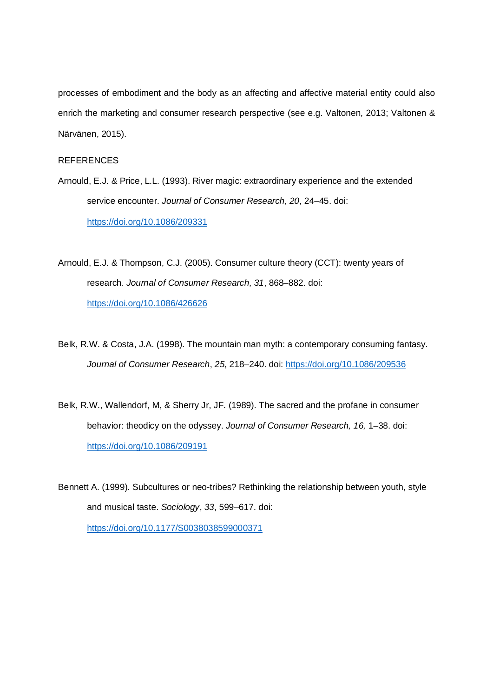processes of embodiment and the body as an affecting and affective material entity could also enrich the marketing and consumer research perspective (see e.g. Valtonen, 2013; Valtonen & Närvänen, 2015).

# REFERENCES

- Arnould, E.J. & Price, L.L. (1993). River magic: extraordinary experience and the extended service encounter. *Journal of Consumer Research*, *20*, 24–45. doi: https://doi.org/10.1086/209331
- Arnould, E.J. & Thompson, C.J. (2005). Consumer culture theory (CCT): twenty years of research. *Journal of Consumer Research, 31*, 868–882. doi: https://doi.org/10.1086/426626
- Belk, R.W. & Costa, J.A. (1998). The mountain man myth: a contemporary consuming fantasy. *Journal of Consumer Research*, *25*, 218–240. doi: https://doi.org/10.1086/209536
- Belk, R.W., Wallendorf, M, & Sherry Jr, JF. (1989). The sacred and the profane in consumer behavior: theodicy on the odyssey. *Journal of Consumer Research, 16,* 1–38. doi: https://doi.org/10.1086/209191

Bennett A. (1999). Subcultures or neo-tribes? Rethinking the relationship between youth, style and musical taste. *Sociology*, *33*, 599–617. doi: https://doi.org/10.1177/S0038038599000371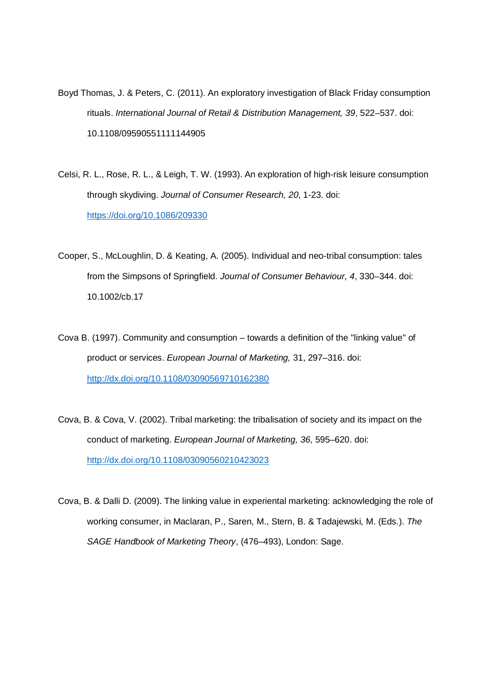- Boyd Thomas, J. & Peters, C. (2011). An exploratory investigation of Black Friday consumption rituals. *International Journal of Retail & Distribution Management, 39*, 522–537. doi: 10.1108/09590551111144905
- Celsi, R. L., Rose, R. L., & Leigh, T. W. (1993). An exploration of high-risk leisure consumption through skydiving. *Journal of Consumer Research, 20*, 1-23. doi: https://doi.org/10.1086/209330
- Cooper, S., McLoughlin, D. & Keating, A. (2005). Individual and neo-tribal consumption: tales from the Simpsons of Springfield. *Journal of Consumer Behaviour, 4*, 330–344. doi: 10.1002/cb.17
- Cova B. (1997). Community and consumption towards a definition of the "linking value" of product or services. *European Journal of Marketing,* 31, 297–316. doi: http://dx.doi.org/10.1108/03090569710162380
- Cova, B. & Cova, V. (2002). Tribal marketing: the tribalisation of society and its impact on the conduct of marketing. *European Journal of Marketing, 36*, 595–620. doi: http://dx.doi.org/10.1108/03090560210423023
- Cova, B. & Dalli D. (2009). The linking value in experiental marketing: acknowledging the role of working consumer, in Maclaran, P., Saren, M., Stern, B. & Tadajewski, M. (Eds.). *The SAGE Handbook of Marketing Theory*, (476–493), London: Sage.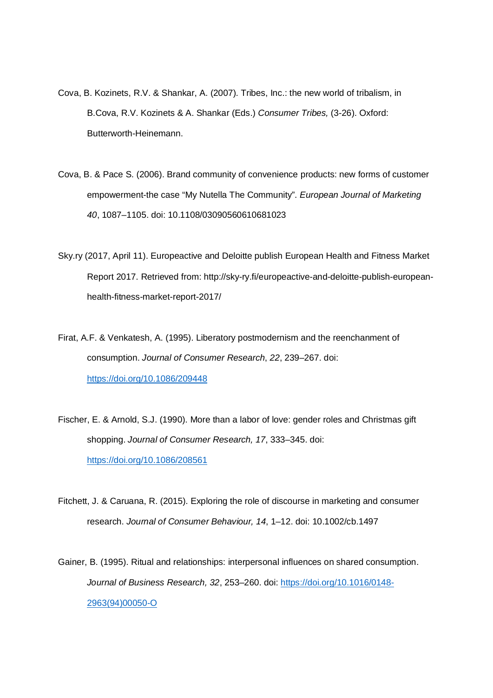- Cova, B. Kozinets, R.V. & Shankar, A. (2007). Tribes, Inc.: the new world of tribalism, in B.Cova, R.V. Kozinets & A. Shankar (Eds.) *Consumer Tribes,* (3-26). Oxford: Butterworth-Heinemann.
- Cova, B. & Pace S. (2006). Brand community of convenience products: new forms of customer empowerment-the case "My Nutella The Community". *European Journal of Marketing 40*, 1087–1105. doi: 10.1108/03090560610681023
- Sky.ry (2017, April 11). Europeactive and Deloitte publish European Health and Fitness Market Report 2017. Retrieved from: http://sky-ry.fi/europeactive-and-deloitte-publish-europeanhealth-fitness-market-report-2017/
- Firat, A.F. & Venkatesh, A. (1995). Liberatory postmodernism and the reenchanment of consumption. *Journal of Consumer Research*, *22*, 239–267. doi: https://doi.org/10.1086/209448
- Fischer, E. & Arnold, S.J. (1990). More than a labor of love: gender roles and Christmas gift shopping. *Journal of Consumer Research, 17*, 333–345. doi: https://doi.org/10.1086/208561
- Fitchett, J. & Caruana, R. (2015). Exploring the role of discourse in marketing and consumer research. *Journal of Consumer Behaviour, 14*, 1–12. doi: 10.1002/cb.1497
- Gainer, B. (1995). Ritual and relationships: interpersonal influences on shared consumption. *Journal of Business Research, 32*, 253–260. doi: https://doi.org/10.1016/0148- 2963(94)00050-O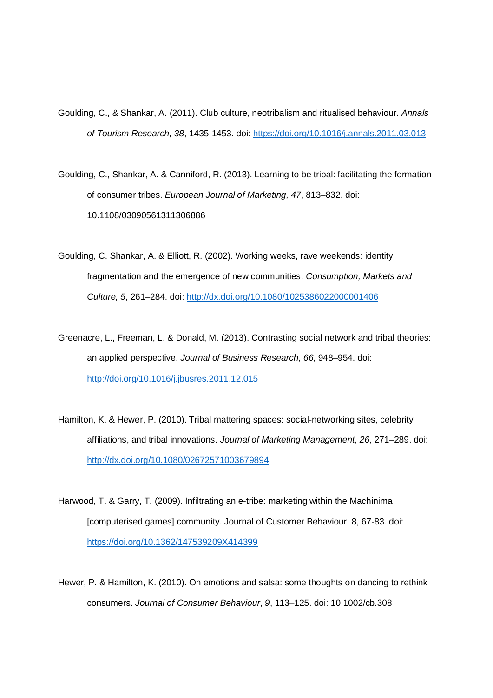- Goulding, C., & Shankar, A. (2011). Club culture, neotribalism and ritualised behaviour. *Annals of Tourism Research, 38*, 1435-1453. doi: https://doi.org/10.1016/j.annals.2011.03.013
- Goulding, C., Shankar, A. & Canniford, R. (2013). Learning to be tribal: facilitating the formation of consumer tribes. *European Journal of Marketing, 47*, 813–832. doi: 10.1108/03090561311306886
- Goulding, C. Shankar, A. & Elliott, R. (2002). Working weeks, rave weekends: identity fragmentation and the emergence of new communities. *Consumption, Markets and Culture, 5*, 261–284. doi: http://dx.doi.org/10.1080/1025386022000001406
- Greenacre, L., Freeman, L. & Donald, M. (2013). Contrasting social network and tribal theories: an applied perspective. *Journal of Business Research, 66*, 948–954. doi: http://doi.org/10.1016/j.jbusres.2011.12.015
- Hamilton, K. & Hewer, P. (2010). Tribal mattering spaces: social-networking sites, celebrity affiliations, and tribal innovations. *Journal of Marketing Management*, *26*, 271–289. doi: http://dx.doi.org/10.1080/02672571003679894
- Harwood, T. & Garry, T. (2009). Infiltrating an e-tribe: marketing within the Machinima [computerised games] community. Journal of Customer Behaviour, 8, 67-83. doi: https://doi.org/10.1362/147539209X414399
- Hewer, P. & Hamilton, K. (2010). On emotions and salsa: some thoughts on dancing to rethink consumers. *Journal of Consumer Behaviour*, *9*, 113–125. doi: 10.1002/cb.308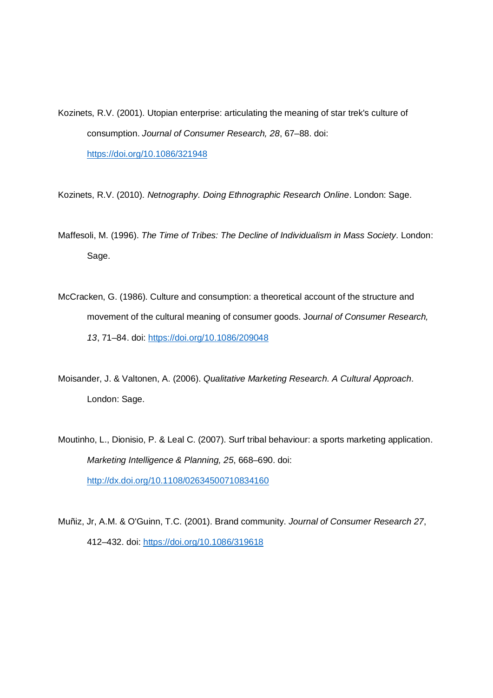Kozinets, R.V. (2001). Utopian enterprise: articulating the meaning of star trek's culture of consumption. *Journal of Consumer Research, 28*, 67–88. doi: https://doi.org/10.1086/321948

Kozinets, R.V. (2010). *Netnography. Doing Ethnographic Research Online*. London: Sage.

- Maffesoli, M. (1996). *The Time of Tribes: The Decline of Individualism in Mass Society*. London: Sage.
- McCracken, G. (1986). Culture and consumption: a theoretical account of the structure and movement of the cultural meaning of consumer goods. J*ournal of Consumer Research, 13*, 71–84. doi: https://doi.org/10.1086/209048
- Moisander, J. & Valtonen, A. (2006). *Qualitative Marketing Research. A Cultural Approach*. London: Sage.
- Moutinho, L., Dionisio, P. & Leal C. (2007). Surf tribal behaviour: a sports marketing application. *Marketing Intelligence & Planning, 25*, 668–690. doi: http://dx.doi.org/10.1108/02634500710834160
- Muñiz, Jr, A.M. & O'Guinn, T.C. (2001). Brand community. *Journal of Consumer Research 27*, 412–432. doi: https://doi.org/10.1086/319618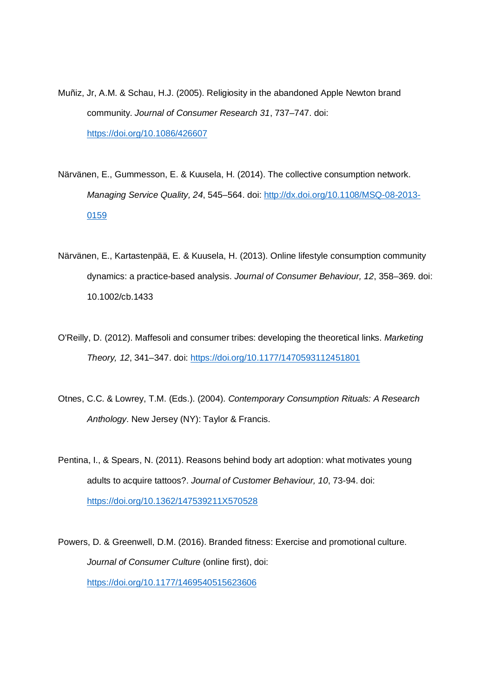- Muñiz, Jr, A.M. & Schau, H.J. (2005). Religiosity in the abandoned Apple Newton brand community. *Journal of Consumer Research 31*, 737–747. doi: https://doi.org/10.1086/426607
- Närvänen, E., Gummesson, E. & Kuusela, H. (2014). The collective consumption network. *Managing Service Quality, 24*, 545–564. doi: http://dx.doi.org/10.1108/MSQ-08-2013- 0159
- Närvänen, E., Kartastenpää, E. & Kuusela, H. (2013). Online lifestyle consumption community dynamics: a practice-based analysis. *Journal of Consumer Behaviour, 12*, 358–369. doi: 10.1002/cb.1433
- O'Reilly, D. (2012). Maffesoli and consumer tribes: developing the theoretical links. *Marketing Theory, 12*, 341–347. doi: https://doi.org/10.1177/1470593112451801
- Otnes, C.C. & Lowrey, T.M. (Eds.). (2004). *Contemporary Consumption Rituals: A Research Anthology.* New Jersey (NY): Taylor & Francis.
- Pentina, I., & Spears, N. (2011). Reasons behind body art adoption: what motivates young adults to acquire tattoos?. *Journal of Customer Behaviour, 10*, 73-94. doi: https://doi.org/10.1362/147539211X570528

Powers, D. & Greenwell, D.M. (2016). Branded fitness: Exercise and promotional culture. *Journal of Consumer Culture* (online first), doi: https://doi.org/10.1177/1469540515623606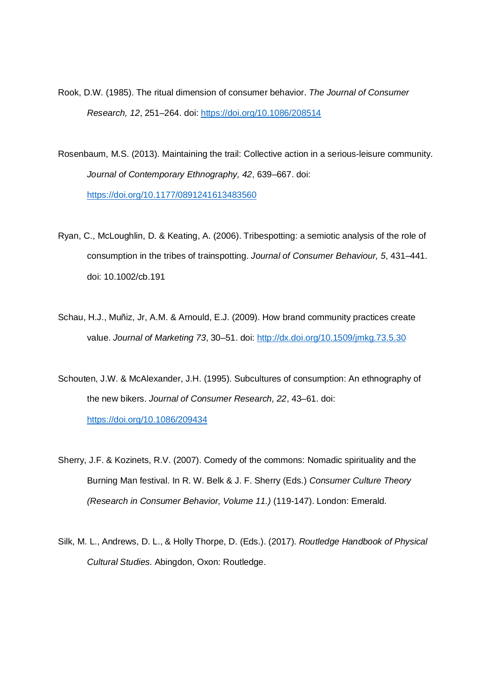Rook, D.W. (1985). The ritual dimension of consumer behavior. *The Journal of Consumer Research, 12*, 251–264. doi: https://doi.org/10.1086/208514

- Rosenbaum, M.S. (2013). Maintaining the trail: Collective action in a serious-leisure community. *Journal of Contemporary Ethnography, 42*, 639–667. doi: https://doi.org/10.1177/0891241613483560
- Ryan, C., McLoughlin, D. & Keating, A. (2006). Tribespotting: a semiotic analysis of the role of consumption in the tribes of trainspotting. *Journal of Consumer Behaviour, 5*, 431–441. doi: 10.1002/cb.191
- Schau, H.J., Muñiz, Jr, A.M. & Arnould, E.J. (2009). How brand community practices create value. *Journal of Marketing 73*, 30–51. doi: http://dx.doi.org/10.1509/jmkg.73.5.30
- Schouten, J.W. & McAlexander, J.H. (1995). Subcultures of consumption: An ethnography of the new bikers. *Journal of Consumer Research, 22*, 43–61. doi: https://doi.org/10.1086/209434
- Sherry, J.F. & Kozinets, R.V. (2007). Comedy of the commons: Nomadic spirituality and the Burning Man festival. In R. W. Belk & J. F. Sherry (Eds.) *Consumer Culture Theory (Research in Consumer Behavior, Volume 11.)* (119-147). London: Emerald.
- Silk, M. L., Andrews, D. L., & Holly Thorpe, D. (Eds.). (2017). *Routledge Handbook of Physical Cultural Studies*. Abingdon, Oxon: Routledge.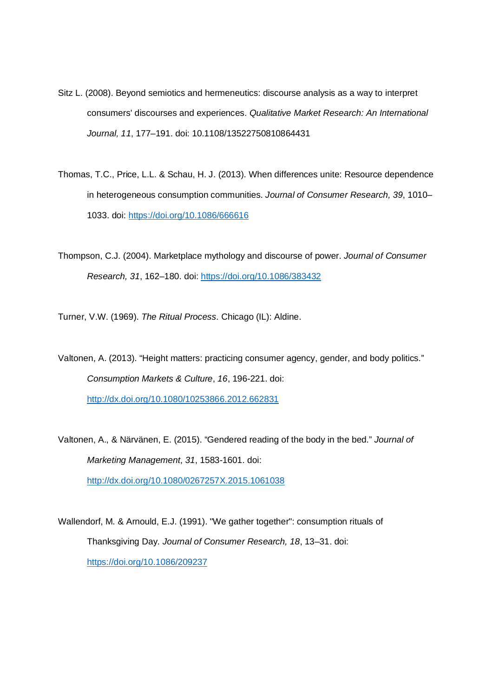- Sitz L. (2008). Beyond semiotics and hermeneutics: discourse analysis as a way to interpret consumers' discourses and experiences. *Qualitative Market Research: An International Journal, 11*, 177–191. doi: 10.1108/13522750810864431
- Thomas, T.C., Price, L.L. & Schau, H. J. (2013). When differences unite: Resource dependence in heterogeneous consumption communities. *Journal of Consumer Research, 39*, 1010– 1033. doi: https://doi.org/10.1086/666616
- Thompson, C.J. (2004). Marketplace mythology and discourse of power. *Journal of Consumer Research, 31*, 162–180. doi: https://doi.org/10.1086/383432

Turner, V.W. (1969). *The Ritual Process*. Chicago (IL): Aldine.

Valtonen, A. (2013). "Height matters: practicing consumer agency, gender, and body politics." *Consumption Markets & Culture*, *16*, 196-221. doi: http://dx.doi.org/10.1080/10253866.2012.662831

Valtonen, A., & Närvänen, E. (2015). "Gendered reading of the body in the bed." *Journal of Marketing Management*, *31*, 1583-1601. doi: http://dx.doi.org/10.1080/0267257X.2015.1061038

Wallendorf, M. & Arnould, E.J. (1991). "We gather together": consumption rituals of Thanksgiving Day. *Journal of Consumer Research, 18*, 13–31. doi: https://doi.org/10.1086/209237